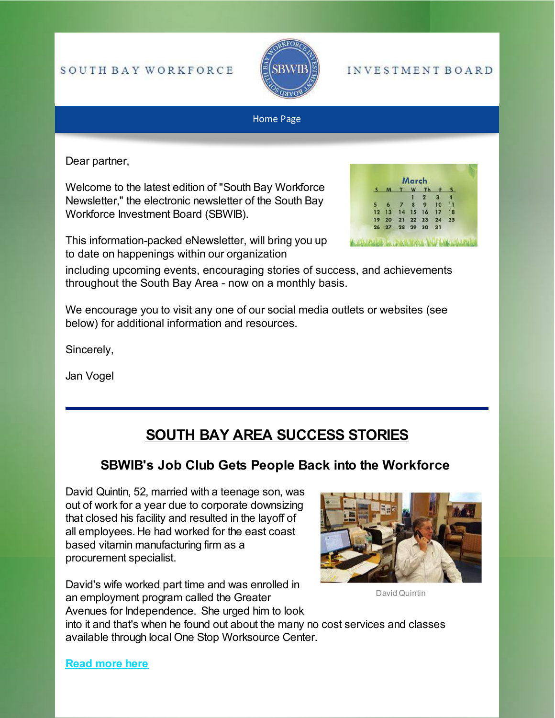#### SOUTH BAY WORKFORCE



#### **INVESTMENT BOARD**

#### Home Page

Dear partner,

Welcome to the latest edition of "South Bay Workforce Newsletter," the electronic newsletter of the South Bay Workforce Investment Board (SBWIB).

This information-packed eNewsletter, will bring you up to date on happenings within our organization



including upcoming events, encouraging stories of success, and achievements throughout the South Bay Area - now on a monthly basis.

We encourage you to visit any one of our social media outlets or websites (see below) for additional information and resources.

Sincerely,

Jan Vogel

# **SOUTH BAY AREA SUCCESS STORIES**

### **SBWIB's Job Club Gets People Back into the Workforce**

David Quintin, 52, married with a teenage son, was out of work for a year due to corporate downsizing that closed his facility and resulted in the layoff of all employees. He had worked for the east coast based vitamin manufacturing firm as a procurement specialist.

David's wife worked part time and was enrolled in an employment program called the Greater Avenues for Independence. She urged him to look



David Quintin

into it and that's when he found out about the many no cost services and classes available through local One Stop Worksource Center.

**[Read more here](https://www.sbwib.org/2017-individual-success-stories)**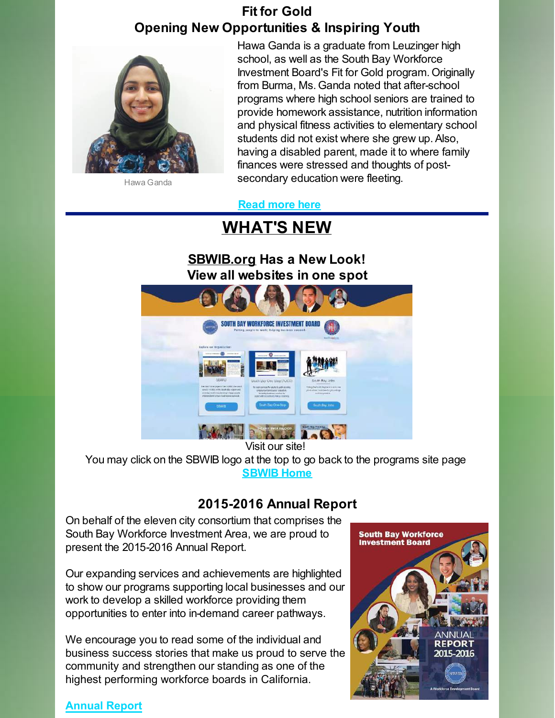# **Fit for Gold Opening New Opportunities & Inspiring Youth**



Hawa Ganda is a graduate from Leuzinger high school, as well as the South Bay Workforce Investment Board's Fit for Gold program. Originally from Burma, Ms. Ganda noted that after-school programs where high school seniors are trained to provide homework assistance, nutrition information and physical fitness activities to elementary school students did not exist where she grew up. Also, having a disabled parent, made it to where family finances were stressed and thoughts of postsecondary education were fleeting.

Hawa Ganda

 **[Read more here](https://www.sbwib.org/2016-youth-success-stories)**

# **WHAT'S NEW**

## **[SBWIB.org](https://www.sbwib.org/) Has a New Look! View all websites in one spot**



Visit our site!

You may click on the SBWIB logo at the top to go back to the programs site page **[SBWIB Home](https://www.sbwib.org/home)**

## **2015-2016 Annual Report**

On behalf of the eleven city consortium that comprises the South Bay Workforce Investment Area, we are proud to present the 2015-2016 Annual Report.

Our expanding services and achievements are highlighted to show our programs supporting local businesses and our work to develop a skilled workforce providing them opportunities to enter into in-demand career pathways.

We encourage you to read some of the individual and business success stories that make us proud to serve the community and strengthen our standing as one of the highest performing workforce boards in California.



#### **[Annual Report](https://media.wix.com/ugd/b8c0dc_6173a41d24c94480826d0b89eefc1b51.pdf)**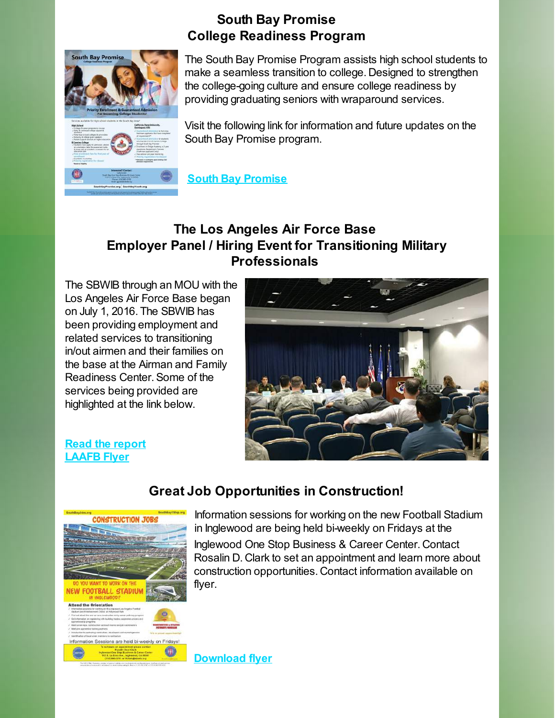

## **South Bay Promise College Readiness Program**

The South Bay Promise Program assists high school students to make a seamless transition to college. Designed to strengthen the college-going culture and ensure college readiness by providing graduating seniors with wraparound services.

Visit the following link for information and future updates on the South Bay Promise program.

 **[South Bay Promise](https://www.southbaypromise.org/)**

# **The Los Angeles Air Force Base Employer Panel / Hiring Event for Transitioning Military Professionals**

The SBWIB through an MOU with the Los Angeles Air Force Base began on July 1, 2016. The SBWIB has been providing employment and related services to transitioning in/out airmen and their families on the base at the Airman and Family Readiness Center. Some of the services being provided are highlighted at the link below.



#### **[Read the report](http://files.constantcontact.com/1c123a6f401/4b71e973-f652-43b2-af8c-479ed9492441.pdf) [LAAFB Flyer](http://media.wix.com/ugd/b8c0dc_c1e8b3bf49234c70a71eab158ed973db.pdf)**



# **Great Job Opportunities in Construction!**

Information sessions for working on the new Football Stadium in Inglewood are being held bi-weekly on Fridays at the

Inglewood One Stop Business & Career Center. Contact Rosalin D. Clark to set an appointment and learn more about construction opportunities. Contact information available on flyer.

**[Download flyer](http://files.constantcontact.com/1c123a6f401/a3fde998-ee49-47d9-ac1e-7900dc3a7a97.pdf)**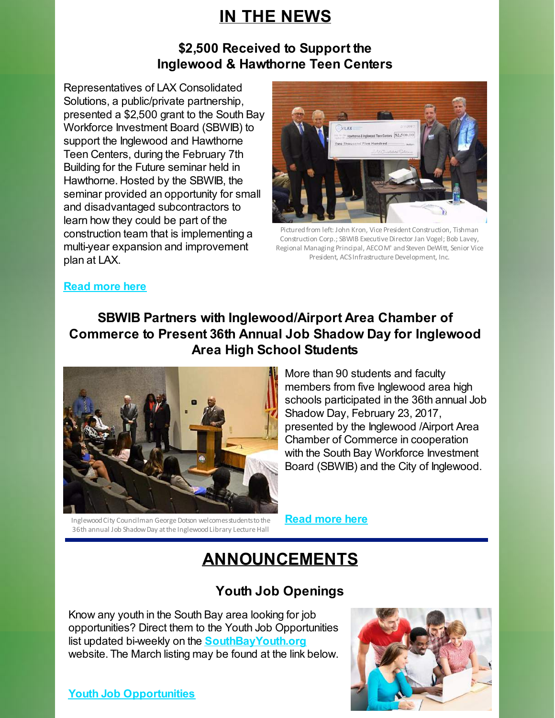# **IN THE NEWS**

## **\$2,500 Received to Support the Inglewood & Hawthorne Teen Centers**

Representatives of LAX Consolidated Solutions, a public/private partnership, presented a \$2,500 grant to the South Bay Workforce Investment Board (SBWIB) to support the Inglewood and Hawthorne Teen Centers, during the February 7th Building for the Future seminar held in Hawthorne. Hosted by the SBWIB, the seminar provided an opportunity for small and disadvantaged subcontractors to learn how they could be part of the construction team that is implementing a multi-year expansion and improvement plan at LAX.



Pictured from left: John Kron, Vice President Construction, Tishman Construction Corp.; SBWIB Executive Director Jan Vogel; Bob Lavey, Regional Managing Principal, AECOM' and Steven DeWitt, Senior Vice President, ACS Infrastructure Development, Inc.

#### **[Read more here](http://files.constantcontact.com/1c123a6f401/7745cb7f-2241-4ed4-83df-cf67e9e0c466.pdf)**

# **SBWIB Partners with Inglewood/Airport Area Chamber of Commerce to Present 36th Annual Job Shadow Day for Inglewood Area High School Students**



More than 90 students and faculty members from five Inglewood area high schools participated in the 36th annual Job Shadow Day, February 23, 2017, presented by the Inglewood /Airport Area Chamber of Commerce in cooperation with the South Bay Workforce Investment Board (SBWIB) and the City of Inglewood.

Inglewood City Councilman George Dotson welcomes students to the 36th annual Job Shadow Day at the Inglewood Library Lecture Hall

**[Read more here](https://media.wix.com/ugd/b8c0dc_1690da26619f456fb690f9b03ab7d314.pdf)**

# **ANNOUNCEMENTS**

# **Youth Job Openings**

Know any youth in the South Bay area looking for job opportunities? Direct them to the Youth Job Opportunities list updated bi-weekly on the **[SouthBayYouth.org](http://southbayyouth.org/)** website. The March listing may be found at the link below.

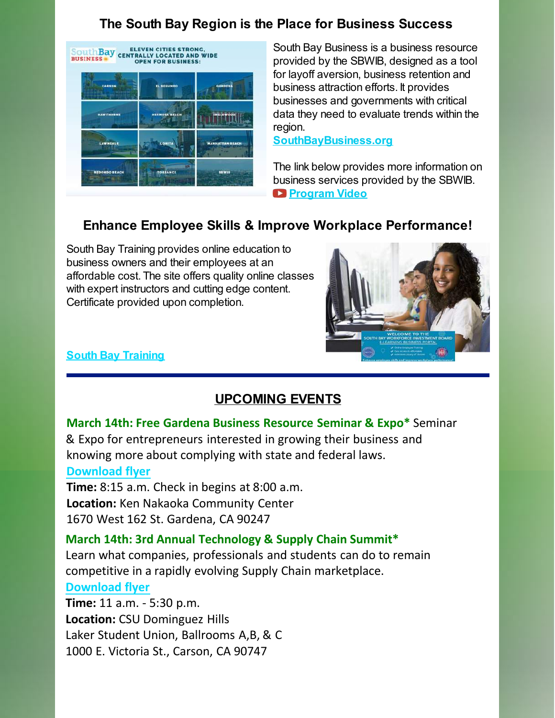# **The South Bay Region is the Place for Business Success**



South Bay Business is a business resource provided by the SBWIB, designed as a tool for layoff aversion, business retention and business attraction efforts. It provides businesses and governments with critical data they need to evaluate trends within the region.

**[SouthBayBusiness.org](http://www.southbaybusiness.org/)**

The link below provides more information on business services provided by the SBWIB. **[Program Video](https://www.youtube.com/watch?v=DrovkME3f2Q)**

# **Enhance Employee Skills & Improve Workplace Performance!**

South Bay Training provides online education to business owners and their employees at an affordable cost. The site offers quality online classes with expert instructors and cutting edge content. Certificate provided upon completion.



#### **[South Bay Training](http://zipmart.com/Brand/35/Source/1/Home/Courses)**

## **UPCOMING EVENTS**

**March 14th: Free Gardena Business Resource Seminar & Expo\*** Seminar & Expo for entrepreneurs interested in growing their business and knowing more about complying with state and federal laws. **[Download flyer](http://files.constantcontact.com/1c123a6f401/bdab3c0f-74eb-4584-9952-418ede045833.pdf)**

**Time:** 8:15 a.m. Check in begins at 8:00 a.m. **Location:** Ken Nakaoka Community Center 1670 West 162 St. Gardena, CA 90247

#### **March 14th: 3rd Annual Technology & Supply Chain Summit\***

Learn what companies, professionals and students can do to remain competitive in a rapidly evolving Supply Chain marketplace.

#### **[Download flyer](http://files.constantcontact.com/1c123a6f401/5006a910-e49a-4d84-a86c-1e4aeacb0936.pdf)**

**Time:** 11 a.m. - 5:30 p.m. **Location:** CSU Dominguez Hills Laker Student Union, Ballrooms A,B, & C 1000 E. Victoria St., Carson, CA 90747